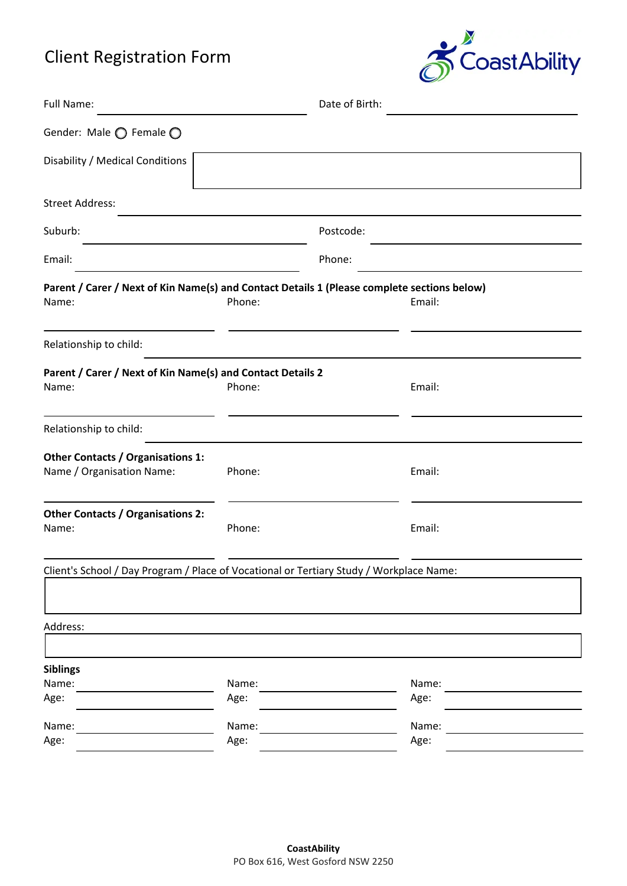# Client Registration Form



| Full Name:                                                                                           |               | Date of Birth: |               |
|------------------------------------------------------------------------------------------------------|---------------|----------------|---------------|
| Gender: Male ◯ Female ◯                                                                              |               |                |               |
| Disability / Medical Conditions                                                                      |               |                |               |
| <b>Street Address:</b>                                                                               |               |                |               |
| Suburb:                                                                                              |               | Postcode:      |               |
| Email:                                                                                               |               | Phone:         |               |
| Parent / Carer / Next of Kin Name(s) and Contact Details 1 (Please complete sections below)<br>Name: | Phone:        |                | Email:        |
| Relationship to child:                                                                               |               |                |               |
| Parent / Carer / Next of Kin Name(s) and Contact Details 2<br>Name:                                  | Phone:        |                | Email:        |
| Relationship to child:                                                                               |               |                |               |
| <b>Other Contacts / Organisations 1:</b><br>Name / Organisation Name:                                | Phone:        |                | Email:        |
| <b>Other Contacts / Organisations 2:</b><br>Name:                                                    | Phone:        |                | Email:        |
| Client's School / Day Program / Place of Vocational or Tertiary Study / Workplace Name:              |               |                |               |
| Address:                                                                                             |               |                |               |
| <b>Siblings</b>                                                                                      |               |                |               |
| Name:<br>Age:                                                                                        | Name:<br>Age: |                | Name:<br>Age: |
| Name:<br>Age:                                                                                        | Name:<br>Age: |                | Name:<br>Age: |